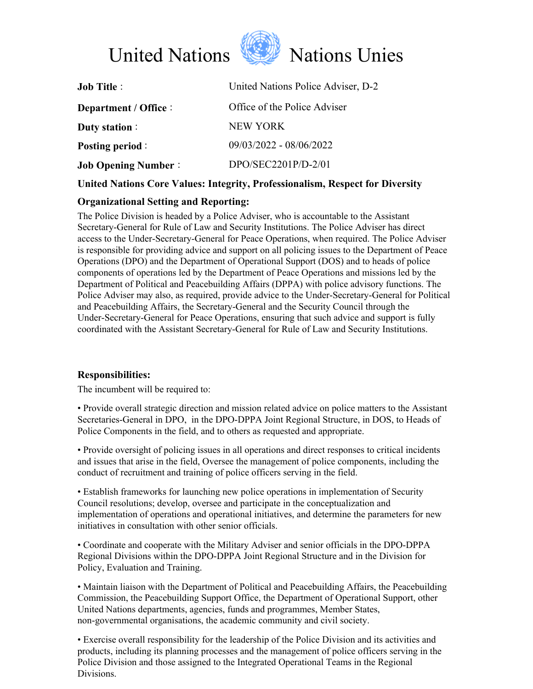



| United Nations Police Adviser, D-2 |
|------------------------------------|
| Office of the Police Adviser       |
| NEW YORK                           |
| 09/03/2022 - 08/06/2022            |
| $DPO/SEC2201P/D-2/01$              |
|                                    |

# **United Nations Core Values: Integrity, Professionalism, Respect for Diversity**

## **Organizational Setting and Reporting:**

The Police Division is headed by a Police Adviser, who is accountable to the Assistant Secretary-General for Rule of Law and Security Institutions. The Police Adviser has direct access to the Under-Secretary-General for Peace Operations, when required. The Police Adviser is responsible for providing advice and support on all policing issues to the Department of Peace Operations (DPO) and the Department of Operational Support (DOS) and to heads of police components of operations led by the Department of Peace Operations and missions led by the Department of Political and Peacebuilding Affairs (DPPA) with police advisory functions. The Police Adviser may also, as required, provide advice to the Under-Secretary-General for Political and Peacebuilding Affairs, the Secretary-General and the Security Council through the Under-Secretary-General for Peace Operations, ensuring that such advice and support is fully coordinated with the Assistant Secretary-General for Rule of Law and Security Institutions.

## **Responsibilities:**

The incumbent will be required to:

• Provide overall strategic direction and mission related advice on police matters to the Assistant Secretaries-General in DPO, in the DPO-DPPA Joint Regional Structure, in DOS, to Heads of Police Components in the field, and to others as requested and appropriate.

• Provide oversight of policing issues in all operations and direct responses to critical incidents and issues that arise in the field, Oversee the management of police components, including the conduct of recruitment and training of police officers serving in the field.

• Establish frameworks for launching new police operations in implementation of Security Council resolutions; develop, oversee and participate in the conceptualization and implementation of operations and operational initiatives, and determine the parameters for new initiatives in consultation with other senior officials.

• Coordinate and cooperate with the Military Adviser and senior officials in the DPO-DPPA Regional Divisions within the DPO-DPPA Joint Regional Structure and in the Division for Policy, Evaluation and Training.

• Maintain liaison with the Department of Political and Peacebuilding Affairs, the Peacebuilding Commission, the Peacebuilding Support Office, the Department of Operational Support, other United Nations departments, agencies, funds and programmes, Member States, non-governmental organisations, the academic community and civil society.

• Exercise overall responsibility for the leadership of the Police Division and its activities and products, including its planning processes and the management of police officers serving in the Police Division and those assigned to the Integrated Operational Teams in the Regional Divisions.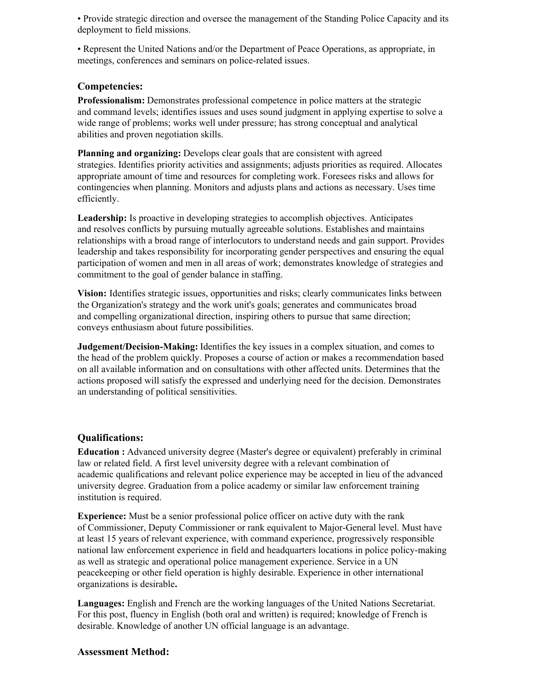• Provide strategic direction and oversee the management of the Standing Police Capacity and its deployment to field missions.

• Represent the United Nations and/or the Department of Peace Operations, as appropriate, in meetings, conferences and seminars on police-related issues.

#### **Competencies:**

**Professionalism:** Demonstrates professional competence in police matters at the strategic and command levels; identifies issues and uses sound judgment in applying expertise to solve a wide range of problems; works well under pressure; has strong conceptual and analytical abilities and proven negotiation skills.

**Planning and organizing:** Develops clear goals that are consistent with agreed strategies. Identifies priority activities and assignments; adjusts priorities as required. Allocates appropriate amount of time and resources for completing work. Foresees risks and allows for contingencies when planning. Monitors and adjusts plans and actions as necessary. Uses time efficiently.

**Leadership:** Is proactive in developing strategies to accomplish objectives. Anticipates and resolves conflicts by pursuing mutually agreeable solutions. Establishes and maintains relationships with a broad range of interlocutors to understand needs and gain support. Provides leadership and takes responsibility for incorporating gender perspectives and ensuring the equal participation of women and men in all areas of work; demonstrates knowledge of strategies and commitment to the goal of gender balance in staffing.

**Vision:** Identifies strategic issues, opportunities and risks; clearly communicates links between the Organization's strategy and the work unit's goals; generates and communicates broad and compelling organizational direction, inspiring others to pursue that same direction; conveys enthusiasm about future possibilities.

**Judgement/Decision-Making:** Identifies the key issues in a complex situation, and comes to the head of the problem quickly. Proposes a course of action or makes a recommendation based on all available information and on consultations with other affected units. Determines that the actions proposed will satisfy the expressed and underlying need for the decision. Demonstrates an understanding of political sensitivities.

#### **Qualifications:**

**Education :** Advanced university degree (Master's degree or equivalent) preferably in criminal law or related field. A first level university degree with a relevant combination of academic qualifications and relevant police experience may be accepted in lieu of the advanced university degree. Graduation from a police academy or similar law enforcement training institution is required.

**Experience:** Must be a senior professional police officer on active duty with the rank of Commissioner, Deputy Commissioner or rank equivalent to Major-General level. Must have at least 15 years of relevant experience, with command experience, progressively responsible national law enforcement experience in field and headquarters locations in police policy-making as well as strategic and operational police management experience. Service in a UN peacekeeping or other field operation is highly desirable. Experience in other international organizations is desirable**.**

**Languages:** English and French are the working languages of the United Nations Secretariat. For this post, fluency in English (both oral and written) is required; knowledge of French is desirable. Knowledge of another UN official language is an advantage.

#### **Assessment Method:**